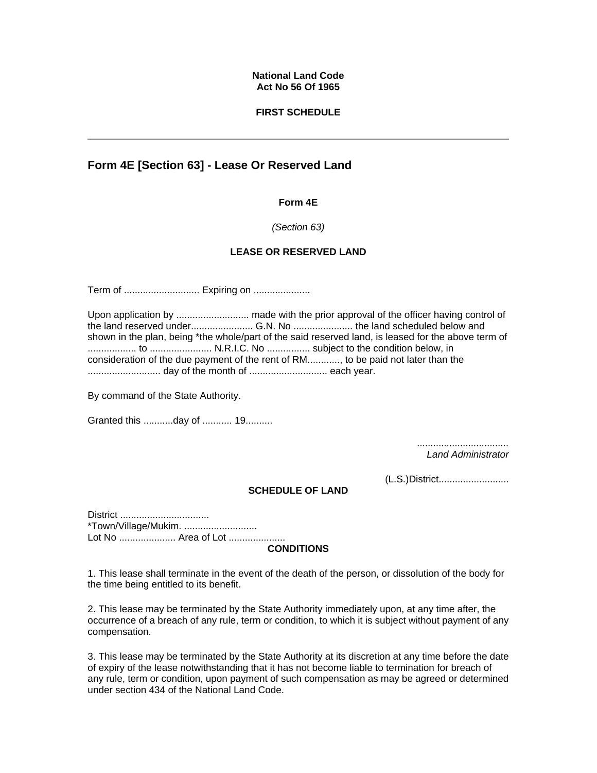### **National Land Code Act No 56 Of 1965**

## **FIRST SCHEDULE**

# **Form 4E [Section 63] - Lease Or Reserved Land**

### **Form 4E**

### *(Section 63)*

## **LEASE OR RESERVED LAND**

Term of ............................... Expiring on ............................

|  | shown in the plan, being *the whole/part of the said reserved land, is leased for the above term of |
|--|-----------------------------------------------------------------------------------------------------|
|  |                                                                                                     |
|  | consideration of the due payment of the rent of RM, to be paid not later than the                   |
|  |                                                                                                     |

By command of the State Authority.

Granted this ...........day of ........... 19..........

*.................................. Land Administrator*

(L.S.)District..........................

#### **SCHEDULE OF LAND**

District ................................. \*Town/Village/Mukim. ........................... Lot No ..................... Area of Lot .....................

#### **CONDITIONS**

1. This lease shall terminate in the event of the death of the person, or dissolution of the body for the time being entitled to its benefit.

2. This lease may be terminated by the State Authority immediately upon, at any time after, the occurrence of a breach of any rule, term or condition, to which it is subject without payment of any compensation.

3. This lease may be terminated by the State Authority at its discretion at any time before the date of expiry of the lease notwithstanding that it has not become liable to termination for breach of any rule, term or condition, upon payment of such compensation as may be agreed or determined under section 434 of the National Land Code.